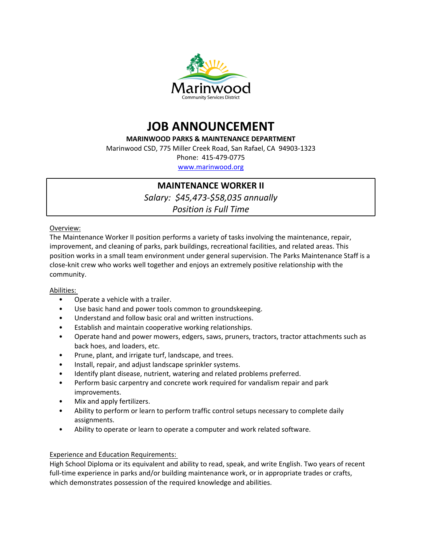



**MARINWOOD PARKS & MAINTENANCE DEPARTMENT**

Marinwood CSD, 775 Miller Creek Road, San Rafael, CA 94903-1323

Phone: 415-479-0775

[www.marinwood.org](http://www.marinwood.org)

# **MAINTENANCE WORKER II**

*Salary: \$45,473-\$58,035 annually*

*Position is Full Time*

Overview:

The Maintenance Worker II position performs a variety of tasks involving the maintenance, repair, improvement, and cleaning of parks, park buildings, recreational facilities, and related areas. This position works in a small team environment under general supervision. The Parks Maintenance Staff is a close-knit crew who works well together and enjoys an extremely positive relationship with the community.

- 
- Abilities:<br>
 Operate a vehicle with a trailer.<br>
 Use basic hand and power tools common to groundskeeping.<br>
 Understand and follow basic oral and written instructions.<br>
 Establish and maintain cooperative working relati
	-
	-
	- Operate hand and power mowers, edgers, saws, pruners, tractors, tractor attachments such as
	-
	-
	-
	- back hoes, and loaders, etc.<br>
	Prune, plant, and irrigate turf, landscape, and trees.<br>
	Install, repair, and adjust landscape sprinkler systems.<br>
	Identify plant disease, nutrient, watering and related problems preferred.<br>
	Pe
	- improvements.<br>Mix and apply fertilizers.
	- Ability to perform or learn to perform traffic control setups necessary to complete daily assignments.<br>Ability to operate or learn to operate a computer and work related software.
	-

# Experience and Education Requirements:

High School Diploma or its equivalent and ability to read, speak, and write English. Two years of recent full-time experience in parks and/or building maintenance work, or in appropriate trades or crafts, which demonstrates possession of the required knowledge and abilities.